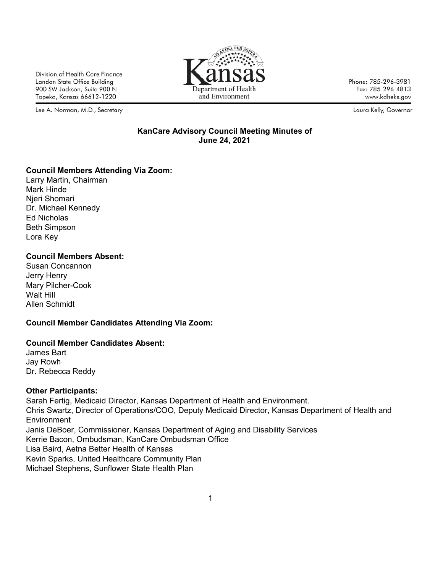Division of Health Care Finance Landon State Office Building 900 SW Jackson, Suite 900 N Topeka, Kansas 66612-1220

Lee A. Norman, M.D., Secretary



Phone: 785-296-3981 Fax: 785-296-4813 www.kdheks.gov

Laura Kelly, Governor

#### **KanCare Advisory Council Meeting Minutes of June 24, 2021**

### **Council Members Attending Via Zoom:**

Larry Martin, Chairman Mark Hinde Njeri Shomari Dr. Michael Kennedy Ed Nicholas Beth Simpson Lora Key

### **Council Members Absent:**

Susan Concannon Jerry Henry Mary Pilcher-Cook Walt Hill Allen Schmidt

# **Council Member Candidates Attending Via Zoom:**

### **Council Member Candidates Absent:**

James Bart Jay Rowh Dr. Rebecca Reddy

### **Other Participants:**

Sarah Fertig, Medicaid Director, Kansas Department of Health and Environment. Chris Swartz, Director of Operations/COO, Deputy Medicaid Director, Kansas Department of Health and **Environment** Janis DeBoer, Commissioner, Kansas Department of Aging and Disability Services Kerrie Bacon, Ombudsman, KanCare Ombudsman Office Lisa Baird, Aetna Better Health of Kansas Kevin Sparks, United Healthcare Community Plan Michael Stephens, Sunflower State Health Plan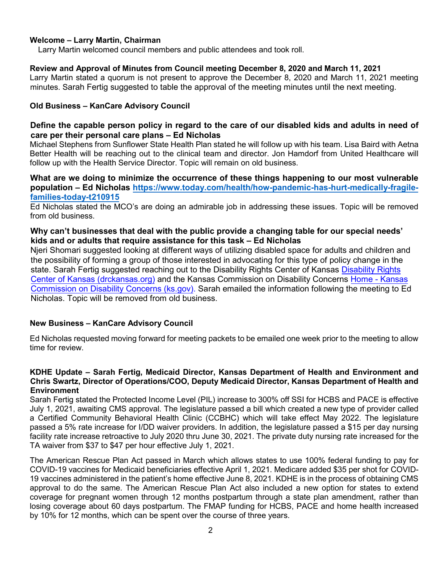#### **Welcome – Larry Martin, Chairman**

Larry Martin welcomed council members and public attendees and took roll.

#### **Review and Approval of Minutes from Council meeting December 8, 2020 and March 11, 2021**

Larry Martin stated a quorum is not present to approve the December 8, 2020 and March 11, 2021 meeting minutes. Sarah Fertig suggested to table the approval of the meeting minutes until the next meeting.

#### **Old Business – KanCare Advisory Council**

### **Define the capable person policy in regard to the care of our disabled kids and adults in need of care per their personal care plans – Ed Nicholas**

Michael Stephens from Sunflower State Health Plan stated he will follow up with his team. Lisa Baird with Aetna Better Health will be reaching out to the clinical team and director. Jon Hamdorf from United Healthcare will follow up with the Health Service Director. Topic will remain on old business.

### **What are we doing to minimize the occurrence of these things happening to our most vulnerable population – Ed Nicholas [https://www.today.com/health/how-pandemic-has-hurt-medically-fragile](https://www.today.com/health/how-pandemic-has-hurt-medically-fragile-families-today-t210915)[families-today-t210915](https://www.today.com/health/how-pandemic-has-hurt-medically-fragile-families-today-t210915)**

Ed Nicholas stated the MCO's are doing an admirable job in addressing these issues. Topic will be removed from old business.

### **Why can't businesses that deal with the public provide a changing table for our special needs' kids and or adults that require assistance for this task – Ed Nicholas**

Njeri Shomari suggested looking at different ways of utilizing disabled space for adults and children and the possibility of forming a group of those interested in advocating for this type of policy change in the state. Sarah Fertig suggested reaching out to the Disability Rights Center of Kansas [Disability Rights](https://gcc02.safelinks.protection.outlook.com/?url=https%3A%2F%2Fwww.drckansas.org%2F&data=04%7C01%7CBrandi.Homer2%40ks.gov%7C966a2caa864a4b14180908d93749358d%7Cdcae8101c92d480cbc43c6761ccccc5a%7C0%7C0%7C637601609835329691%7CUnknown%7CTWFpbGZsb3d8eyJWIjoiMC4wLjAwMDAiLCJQIjoiV2luMzIiLCJBTiI6Ik1haWwiLCJXVCI6Mn0%3D%7C1000&sdata=8IwSd%2FM%2F56kAXhCCbZaBEJ9M%2BbwbASVH0V8I2x1MRdA%3D&reserved=0) [Center of Kansas \(drckansas.org\)](https://gcc02.safelinks.protection.outlook.com/?url=https%3A%2F%2Fwww.drckansas.org%2F&data=04%7C01%7CBrandi.Homer2%40ks.gov%7C966a2caa864a4b14180908d93749358d%7Cdcae8101c92d480cbc43c6761ccccc5a%7C0%7C0%7C637601609835329691%7CUnknown%7CTWFpbGZsb3d8eyJWIjoiMC4wLjAwMDAiLCJQIjoiV2luMzIiLCJBTiI6Ik1haWwiLCJXVCI6Mn0%3D%7C1000&sdata=8IwSd%2FM%2F56kAXhCCbZaBEJ9M%2BbwbASVH0V8I2x1MRdA%3D&reserved=0) and the Kansas Commission on Disability Concerns [Home - Kansas](https://gcc02.safelinks.protection.outlook.com/?url=https%3A%2F%2Fkcdcinfo.ks.gov%2Fhome&data=04%7C01%7CBrandi.Homer2%40ks.gov%7C966a2caa864a4b14180908d93749358d%7Cdcae8101c92d480cbc43c6761ccccc5a%7C0%7C0%7C637601609835319731%7CUnknown%7CTWFpbGZsb3d8eyJWIjoiMC4wLjAwMDAiLCJQIjoiV2luMzIiLCJBTiI6Ik1haWwiLCJXVCI6Mn0%3D%7C1000&sdata=FR4s7iyj5%2FY6HOyXA8TAprhy3%2BtXPvSF4QVEoNJdztE%3D&reserved=0) [Commission on Disability Concerns \(ks.gov\).](https://gcc02.safelinks.protection.outlook.com/?url=https%3A%2F%2Fkcdcinfo.ks.gov%2Fhome&data=04%7C01%7CBrandi.Homer2%40ks.gov%7C966a2caa864a4b14180908d93749358d%7Cdcae8101c92d480cbc43c6761ccccc5a%7C0%7C0%7C637601609835319731%7CUnknown%7CTWFpbGZsb3d8eyJWIjoiMC4wLjAwMDAiLCJQIjoiV2luMzIiLCJBTiI6Ik1haWwiLCJXVCI6Mn0%3D%7C1000&sdata=FR4s7iyj5%2FY6HOyXA8TAprhy3%2BtXPvSF4QVEoNJdztE%3D&reserved=0) Sarah emailed the information following the meeting to Ed Nicholas. Topic will be removed from old business.

### **New Business – KanCare Advisory Council**

Ed Nicholas requested moving forward for meeting packets to be emailed one week prior to the meeting to allow time for review.

#### **KDHE Update – Sarah Fertig, Medicaid Director, Kansas Department of Health and Environment and Chris Swartz, Director of Operations/COO, Deputy Medicaid Director, Kansas Department of Health and Environment**

Sarah Fertig stated the Protected Income Level (PIL) increase to 300% off SSI for HCBS and PACE is effective July 1, 2021, awaiting CMS approval. The legislature passed a bill which created a new type of provider called a Certified Community Behavioral Health Clinic (CCBHC) which will take effect May 2022. The legislature passed a 5% rate increase for I/DD waiver providers. In addition, the legislature passed a \$15 per day nursing facility rate increase retroactive to July 2020 thru June 30, 2021. The private duty nursing rate increased for the TA waiver from \$37 to \$47 per hour effective July 1, 2021.

The American Rescue Plan Act passed in March which allows states to use 100% federal funding to pay for COVID-19 vaccines for Medicaid beneficiaries effective April 1, 2021. Medicare added \$35 per shot for COVID-19 vaccines administered in the patient's home effective June 8, 2021. KDHE is in the process of obtaining CMS approval to do the same. The American Rescue Plan Act also included a new option for states to extend coverage for pregnant women through 12 months postpartum through a state plan amendment, rather than losing coverage about 60 days postpartum. The FMAP funding for HCBS, PACE and home health increased by 10% for 12 months, which can be spent over the course of three years.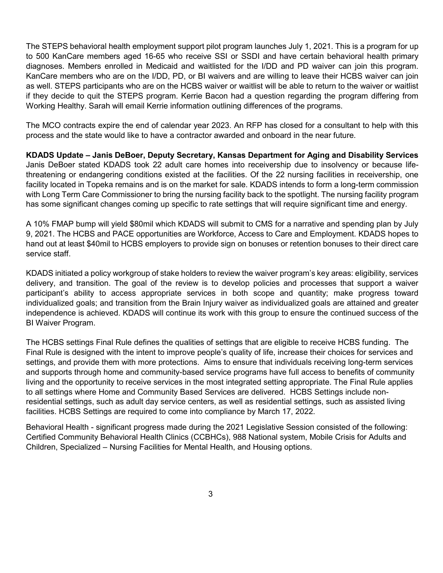The STEPS behavioral health employment support pilot program launches July 1, 2021. This is a program for up to 500 KanCare members aged 16-65 who receive SSI or SSDI and have certain behavioral health primary diagnoses. Members enrolled in Medicaid and waitlisted for the I/DD and PD waiver can join this program. KanCare members who are on the I/DD, PD, or BI waivers and are willing to leave their HCBS waiver can join as well. STEPS participants who are on the HCBS waiver or waitlist will be able to return to the waiver or waitlist if they decide to quit the STEPS program. Kerrie Bacon had a question regarding the program differing from Working Healthy. Sarah will email Kerrie information outlining differences of the programs.

The MCO contracts expire the end of calendar year 2023. An RFP has closed for a consultant to help with this process and the state would like to have a contractor awarded and onboard in the near future.

**KDADS Update – Janis DeBoer, Deputy Secretary, Kansas Department for Aging and Disability Services** Janis DeBoer stated KDADS took 22 adult care homes into receivership due to insolvency or because lifethreatening or endangering conditions existed at the facilities. Of the 22 nursing facilities in receivership, one facility located in Topeka remains and is on the market for sale. KDADS intends to form a long-term commission with Long Term Care Commissioner to bring the nursing facility back to the spotlight. The nursing facility program has some significant changes coming up specific to rate settings that will require significant time and energy.

A 10% FMAP bump will yield \$80mil which KDADS will submit to CMS for a narrative and spending plan by July 9, 2021. The HCBS and PACE opportunities are Workforce, Access to Care and Employment. KDADS hopes to hand out at least \$40mil to HCBS employers to provide sign on bonuses or retention bonuses to their direct care service staff.

KDADS initiated a policy workgroup of stake holders to review the waiver program's key areas: eligibility, services delivery, and transition. The goal of the review is to develop policies and processes that support a waiver participant's ability to access appropriate services in both scope and quantity; make progress toward individualized goals; and transition from the Brain Injury waiver as individualized goals are attained and greater independence is achieved. KDADS will continue its work with this group to ensure the continued success of the BI Waiver Program.

The HCBS settings Final Rule defines the qualities of settings that are eligible to receive HCBS funding. The Final Rule is designed with the intent to improve people's quality of life, increase their choices for services and settings, and provide them with more protections. Aims to ensure that individuals receiving long-term services and supports through home and community-based service programs have full access to benefits of community living and the opportunity to receive services in the most integrated setting appropriate. The Final Rule applies to all settings where Home and Community Based Services are delivered. HCBS Settings include nonresidential settings, such as adult day service centers, as well as residential settings, such as assisted living facilities. HCBS Settings are required to come into compliance by March 17, 2022.

Behavioral Health - significant progress made during the 2021 Legislative Session consisted of the following: Certified Community Behavioral Health Clinics (CCBHCs), 988 National system, Mobile Crisis for Adults and Children, Specialized – Nursing Facilities for Mental Health, and Housing options.